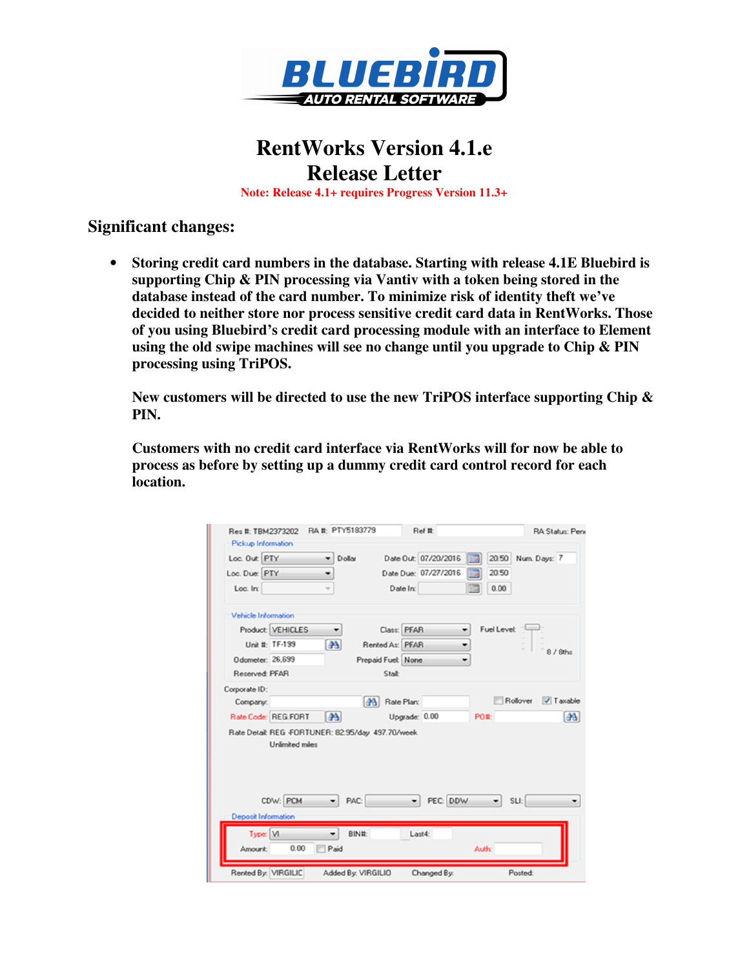

## **RentWorks Version 4.1.e Release Letter**

**Note: Release 4.1+ requires Progress Version 11.3+** 

## **Significant changes:**

• **Storing credit card numbers in the database. Starting with release 4.1E Bluebird is supporting Chip & PIN processing via Vantiv with a token being stored in the database instead of the card number. To minimize risk of identity theft we've decided to neither store nor process sensitive credit card data in RentWorks. Those of you using Bluebird's credit card processing module with an interface to Element using the old swipe machines will see no change until you upgrade to Chip & PIN processing using TriPOS.**

**New customers will be directed to use the new TriPOS interface supporting Chip & PIN.**

**Customers with no credit card interface via RentWorks will for now be able to process as before by setting up a dummy credit card control record for each location.**

| Loc. Out: PTY              |                                                                              | Dollar         |                     |               | Date Out: 07/20/2016 | EBI                  | 20.50 Num. Days: 7    |
|----------------------------|------------------------------------------------------------------------------|----------------|---------------------|---------------|----------------------|----------------------|-----------------------|
| Loc. Due: PTY              |                                                                              | ٠              |                     |               | Date Due: 07/27/2016 | 20.50<br><b>ETIS</b> |                       |
| Loc. In:                   |                                                                              |                |                     | Date In:      |                      | 0.00                 |                       |
| Vehicle Information        |                                                                              |                |                     |               |                      |                      |                       |
|                            | Product: VEHICLES                                                            | ۰              |                     | Class: PFAR   |                      | <b>Fuel Level:</b>   |                       |
|                            | Unit #: TF-199                                                               | 4 <sup>A</sup> | Rented As: PFAR     |               |                      |                      | 8 / 8ths              |
| Odometer: 26,699           |                                                                              |                | Prepaid Fuel: None  |               |                      |                      |                       |
| Reserved: PFAR             |                                                                              |                | Stalk               |               |                      |                      |                       |
| Corporate ID:              |                                                                              |                |                     |               |                      |                      |                       |
| Company:                   |                                                                              |                | <b>A Rate Plan:</b> |               |                      |                      | Rollover<br>V Taxable |
|                            | Rate Code: REG.FORT                                                          | as.            |                     | Upgrade: 0.00 |                      | P0#:                 | 44                    |
|                            | Rate Detail: REG -FORTUNER: 82.95/day 497.70/week.<br><b>Unlimited miles</b> |                |                     |               |                      |                      |                       |
|                            | CDW: PCM                                                                     | PAC:           |                     |               | PEC: DDW             | ۰.                   | SLI:                  |
| <b>Deposit Information</b> |                                                                              |                |                     |               |                      |                      |                       |
|                            |                                                                              | ۰              | BIN#:               | Last4:        |                      |                      |                       |
| Type: M                    |                                                                              |                |                     |               |                      |                      |                       |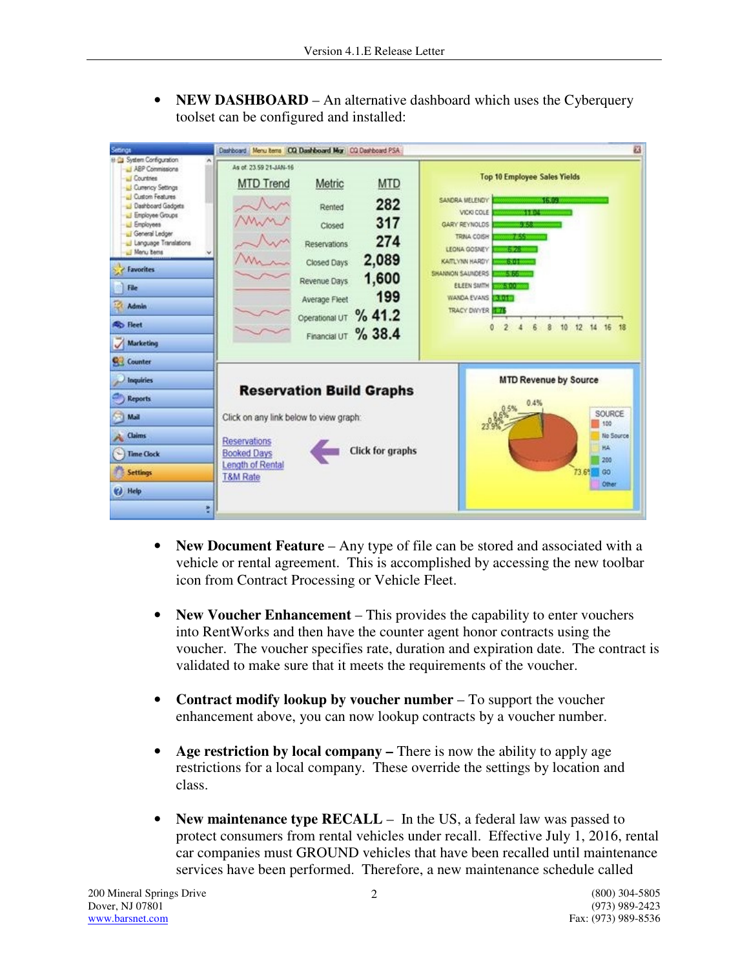• **NEW DASHBOARD** – An alternative dashboard which uses the Cyberquery toolset can be configured and installed:

| Setings                                                                                                                                                                                                                                                                                                              | Dashboard   Menu tems   CQ Dashboard Mgr   CQ Dashboard PSA                                                                                                                                                                                          | 83                                                                                                                                                                                                                                                                                                                                                       |
|----------------------------------------------------------------------------------------------------------------------------------------------------------------------------------------------------------------------------------------------------------------------------------------------------------------------|------------------------------------------------------------------------------------------------------------------------------------------------------------------------------------------------------------------------------------------------------|----------------------------------------------------------------------------------------------------------------------------------------------------------------------------------------------------------------------------------------------------------------------------------------------------------------------------------------------------------|
| E Ca System Configuration<br>J ABP Commissions<br>U Countries<br>Currency Settings<br>Custom Features<br><b>J</b> Dashboard Gadgets<br>Employee Groups<br>Li Employees<br>General Ledger<br>U Language Translations<br><b>Neru bens</b><br><b>E</b> Favorites<br>File<br><b>Admin</b><br><b>Ro</b> Heet<br>Marketing | As of: 23.59.21-JAN-16<br><b>MTD</b><br><b>MTD Trend</b><br>Metric<br>282<br>Rented<br>317<br>Closed<br>274<br>Reservations<br>2,089<br>Closed Days<br>1,600<br>Revenue Days<br>199<br>Average Fleet<br>Operational UT % 41.2<br>Financial UT % 38.4 | <b>Top 10 Employee Sales Yields</b><br>SANDRA MELENDY<br><b>Administration</b><br>VICKI COLE<br>65255<br>GARY REYNOLDS<br>43.33<br>TRINA COISH<br>76555<br>LEONA GOSNEY<br><b>SERVICE</b><br>KAITLYNN HARDY<br>428149<br>SHANNON SAUNDERS<br><b>SYNC</b><br><b>ELEEN SMITH</b><br>26.31.1999<br>WANDA EVANS<br>06.812.59<br>TRACY DIVYER 1775<br>ō<br>16 |
| <b>S</b> Counter<br><b>Inquiries</b><br><b>Reports</b><br>Mail<br><b>Claims</b><br><b>Time Clock</b><br><b>Settings</b><br>(c) Help                                                                                                                                                                                  | <b>Reservation Build Graphs</b><br>Click on any link below to view graph:<br>Reservations<br>Click for graphs<br><b>Booked Days</b><br>Length of Rental<br><b>T&amp;M Rate</b>                                                                       | <b>MTD Revenue by Source</b><br>0.4%<br>SOURCE<br>100<br>No Source<br><b>HA</b><br>200<br>73.6% 00<br>Other                                                                                                                                                                                                                                              |

- **New Document Feature** Any type of file can be stored and associated with a vehicle or rental agreement. This is accomplished by accessing the new toolbar icon from Contract Processing or Vehicle Fleet.
- **New Voucher Enhancement** This provides the capability to enter vouchers into RentWorks and then have the counter agent honor contracts using the voucher. The voucher specifies rate, duration and expiration date. The contract is validated to make sure that it meets the requirements of the voucher.
- **Contract modify lookup by voucher number** To support the voucher enhancement above, you can now lookup contracts by a voucher number.
- **Age restriction by local company** There is now the ability to apply age restrictions for a local company. These override the settings by location and class.
- **New maintenance type RECALL** In the US, a federal law was passed to protect consumers from rental vehicles under recall. Effective July 1, 2016, rental car companies must GROUND vehicles that have been recalled until maintenance services have been performed. Therefore, a new maintenance schedule called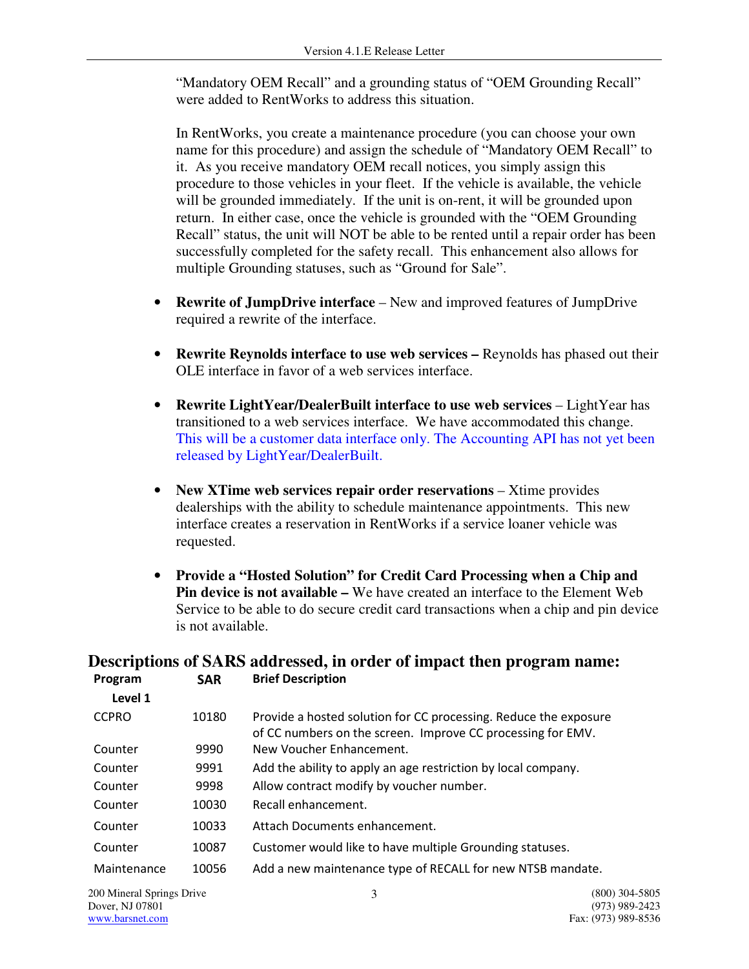"Mandatory OEM Recall" and a grounding status of "OEM Grounding Recall" were added to RentWorks to address this situation.

In RentWorks, you create a maintenance procedure (you can choose your own name for this procedure) and assign the schedule of "Mandatory OEM Recall" to it. As you receive mandatory OEM recall notices, you simply assign this procedure to those vehicles in your fleet. If the vehicle is available, the vehicle will be grounded immediately. If the unit is on-rent, it will be grounded upon return. In either case, once the vehicle is grounded with the "OEM Grounding Recall" status, the unit will NOT be able to be rented until a repair order has been successfully completed for the safety recall. This enhancement also allows for multiple Grounding statuses, such as "Ground for Sale".

- **Rewrite of JumpDrive interface**  New and improved features of JumpDrive required a rewrite of the interface.
- **Rewrite Reynolds interface to use web services –** Reynolds has phased out their OLE interface in favor of a web services interface.
- **Rewrite LightYear/DealerBuilt interface to use web services** LightYear has transitioned to a web services interface. We have accommodated this change. This will be a customer data interface only. The Accounting API has not yet been released by LightYear/DealerBuilt.
- New XTime web services repair order reservations Xtime provides dealerships with the ability to schedule maintenance appointments. This new interface creates a reservation in RentWorks if a service loaner vehicle was requested.
- **Provide a "Hosted Solution" for Credit Card Processing when a Chip and Pin device is not available –** We have created an interface to the Element Web Service to be able to do secure credit card transactions when a chip and pin device is not available.

## **Descriptions of SARS addressed, in order of impact then program name:**

| Program                                      | <b>SAR</b> | <b>Brief Description</b>                                                                                                        |                                  |
|----------------------------------------------|------------|---------------------------------------------------------------------------------------------------------------------------------|----------------------------------|
| Level 1                                      |            |                                                                                                                                 |                                  |
| <b>CCPRO</b>                                 | 10180      | Provide a hosted solution for CC processing. Reduce the exposure<br>of CC numbers on the screen. Improve CC processing for EMV. |                                  |
| Counter                                      | 9990       | New Voucher Enhancement.                                                                                                        |                                  |
| Counter                                      | 9991       | Add the ability to apply an age restriction by local company.                                                                   |                                  |
| Counter                                      | 9998       | Allow contract modify by voucher number.                                                                                        |                                  |
| Counter                                      | 10030      | Recall enhancement.                                                                                                             |                                  |
| Counter                                      | 10033      | Attach Documents enhancement.                                                                                                   |                                  |
| Counter                                      | 10087      | Customer would like to have multiple Grounding statuses.                                                                        |                                  |
| Maintenance                                  | 10056      | Add a new maintenance type of RECALL for new NTSB mandate.                                                                      |                                  |
| 200 Mineral Springs Drive<br>Dover. NJ 07801 |            | 3                                                                                                                               | (800) 304-5805<br>(973) 989-2423 |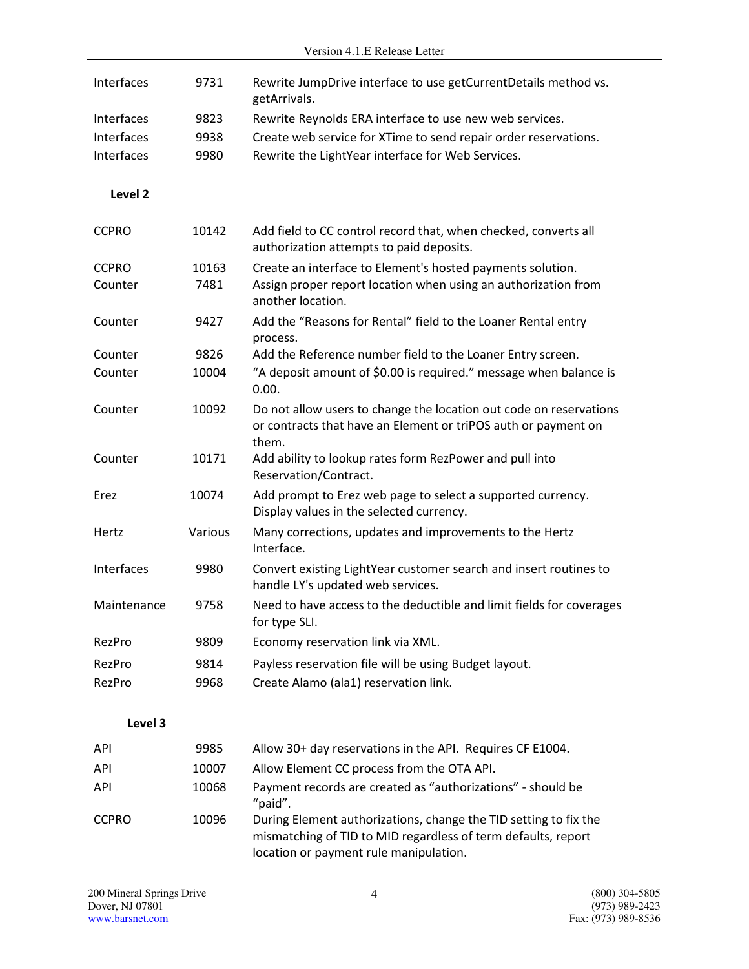|                    |         | Version 4.1.E Release Letter                                                                                                                  |
|--------------------|---------|-----------------------------------------------------------------------------------------------------------------------------------------------|
| Interfaces         | 9731    | Rewrite JumpDrive interface to use getCurrentDetails method vs.<br>getArrivals.                                                               |
| Interfaces         | 9823    | Rewrite Reynolds ERA interface to use new web services.                                                                                       |
| Interfaces         | 9938    | Create web service for XTime to send repair order reservations.                                                                               |
| Interfaces         | 9980    | Rewrite the LightYear interface for Web Services.                                                                                             |
|                    |         |                                                                                                                                               |
| Level <sub>2</sub> |         |                                                                                                                                               |
| <b>CCPRO</b>       | 10142   | Add field to CC control record that, when checked, converts all<br>authorization attempts to paid deposits.                                   |
| <b>CCPRO</b>       | 10163   | Create an interface to Element's hosted payments solution.                                                                                    |
| Counter            | 7481    | Assign proper report location when using an authorization from<br>another location.                                                           |
| Counter            | 9427    | Add the "Reasons for Rental" field to the Loaner Rental entry<br>process.                                                                     |
| Counter            | 9826    | Add the Reference number field to the Loaner Entry screen.                                                                                    |
| Counter            | 10004   | "A deposit amount of \$0.00 is required." message when balance is<br>0.00.                                                                    |
| Counter            | 10092   | Do not allow users to change the location out code on reservations<br>or contracts that have an Element or triPOS auth or payment on<br>them. |
| Counter            | 10171   | Add ability to lookup rates form RezPower and pull into<br>Reservation/Contract.                                                              |
| Erez               | 10074   | Add prompt to Erez web page to select a supported currency.<br>Display values in the selected currency.                                       |
| Hertz              | Various | Many corrections, updates and improvements to the Hertz<br>Interface.                                                                         |
| Interfaces         | 9980    | Convert existing LightYear customer search and insert routines to<br>handle LY's updated web services.                                        |
| Maintenance        | 9758    | Need to have access to the deductible and limit fields for coverages<br>for type SLI.                                                         |
| RezPro             | 9809    | Economy reservation link via XML.                                                                                                             |
| RezPro             | 9814    | Payless reservation file will be using Budget layout.                                                                                         |
| RezPro             | 9968    | Create Alamo (ala1) reservation link.                                                                                                         |
|                    |         |                                                                                                                                               |
| Level 3            |         |                                                                                                                                               |
| API                | 9985    | Allow 30+ day reservations in the API. Requires CF E1004.                                                                                     |
| API                | 10007   | Allow Element CC process from the OTA API.                                                                                                    |
| API                | 10068   | Payment records are created as "authorizations" - should be<br>"paid".                                                                        |
| <b>CCPRO</b>       | 10096   | During Element authorizations, change the TID setting to fix the<br>mismatching of TID to MID regardless of term defaults, report             |

location or payment rule manipulation.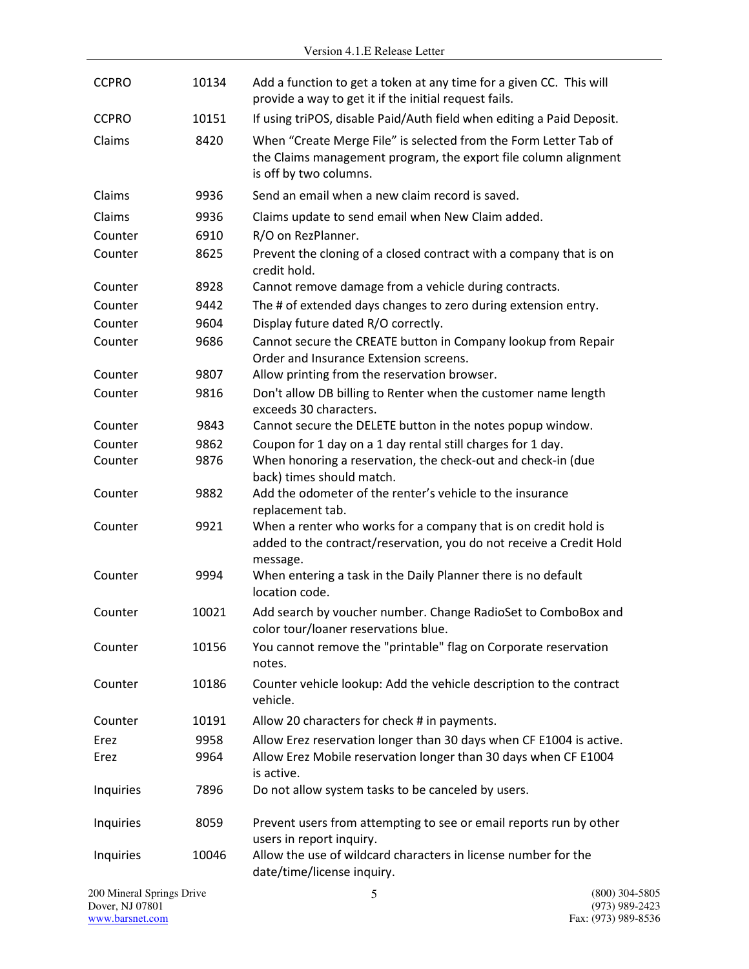| <b>CCPRO</b>                                 | 10134 | Add a function to get a token at any time for a given CC. This will<br>provide a way to get it if the initial request fails.                                  |                                    |
|----------------------------------------------|-------|---------------------------------------------------------------------------------------------------------------------------------------------------------------|------------------------------------|
| <b>CCPRO</b>                                 | 10151 | If using triPOS, disable Paid/Auth field when editing a Paid Deposit.                                                                                         |                                    |
| Claims                                       | 8420  | When "Create Merge File" is selected from the Form Letter Tab of<br>the Claims management program, the export file column alignment<br>is off by two columns. |                                    |
| Claims                                       | 9936  | Send an email when a new claim record is saved.                                                                                                               |                                    |
| Claims                                       | 9936  | Claims update to send email when New Claim added.                                                                                                             |                                    |
| Counter                                      | 6910  | R/O on RezPlanner.                                                                                                                                            |                                    |
| Counter                                      | 8625  | Prevent the cloning of a closed contract with a company that is on<br>credit hold.                                                                            |                                    |
| Counter                                      | 8928  | Cannot remove damage from a vehicle during contracts.                                                                                                         |                                    |
| Counter                                      | 9442  | The # of extended days changes to zero during extension entry.                                                                                                |                                    |
| Counter                                      | 9604  | Display future dated R/O correctly.                                                                                                                           |                                    |
| Counter                                      | 9686  | Cannot secure the CREATE button in Company lookup from Repair<br>Order and Insurance Extension screens.                                                       |                                    |
| Counter                                      | 9807  | Allow printing from the reservation browser.                                                                                                                  |                                    |
| Counter                                      | 9816  | Don't allow DB billing to Renter when the customer name length<br>exceeds 30 characters.                                                                      |                                    |
| Counter                                      | 9843  | Cannot secure the DELETE button in the notes popup window.                                                                                                    |                                    |
| Counter                                      | 9862  | Coupon for 1 day on a 1 day rental still charges for 1 day.                                                                                                   |                                    |
| Counter                                      | 9876  | When honoring a reservation, the check-out and check-in (due<br>back) times should match.                                                                     |                                    |
| Counter                                      | 9882  | Add the odometer of the renter's vehicle to the insurance<br>replacement tab.                                                                                 |                                    |
| Counter                                      | 9921  | When a renter who works for a company that is on credit hold is<br>added to the contract/reservation, you do not receive a Credit Hold<br>message.            |                                    |
| Counter                                      | 9994  | When entering a task in the Daily Planner there is no default<br>location code.                                                                               |                                    |
| Counter                                      | 10021 | Add search by voucher number. Change RadioSet to ComboBox and<br>color tour/loaner reservations blue.                                                         |                                    |
| Counter                                      | 10156 | You cannot remove the "printable" flag on Corporate reservation<br>notes.                                                                                     |                                    |
| Counter                                      | 10186 | Counter vehicle lookup: Add the vehicle description to the contract<br>vehicle.                                                                               |                                    |
| Counter                                      | 10191 | Allow 20 characters for check # in payments.                                                                                                                  |                                    |
| Erez                                         | 9958  | Allow Erez reservation longer than 30 days when CF E1004 is active.                                                                                           |                                    |
| Erez                                         | 9964  | Allow Erez Mobile reservation longer than 30 days when CF E1004<br>is active.                                                                                 |                                    |
| Inquiries                                    | 7896  | Do not allow system tasks to be canceled by users.                                                                                                            |                                    |
| Inquiries                                    | 8059  | Prevent users from attempting to see or email reports run by other<br>users in report inquiry.                                                                |                                    |
| Inquiries                                    | 10046 | Allow the use of wildcard characters in license number for the<br>date/time/license inquiry.                                                                  |                                    |
| 200 Mineral Springs Drive<br>Dover, NJ 07801 |       | 5                                                                                                                                                             | $(800)$ 304-5805<br>(973) 989-2423 |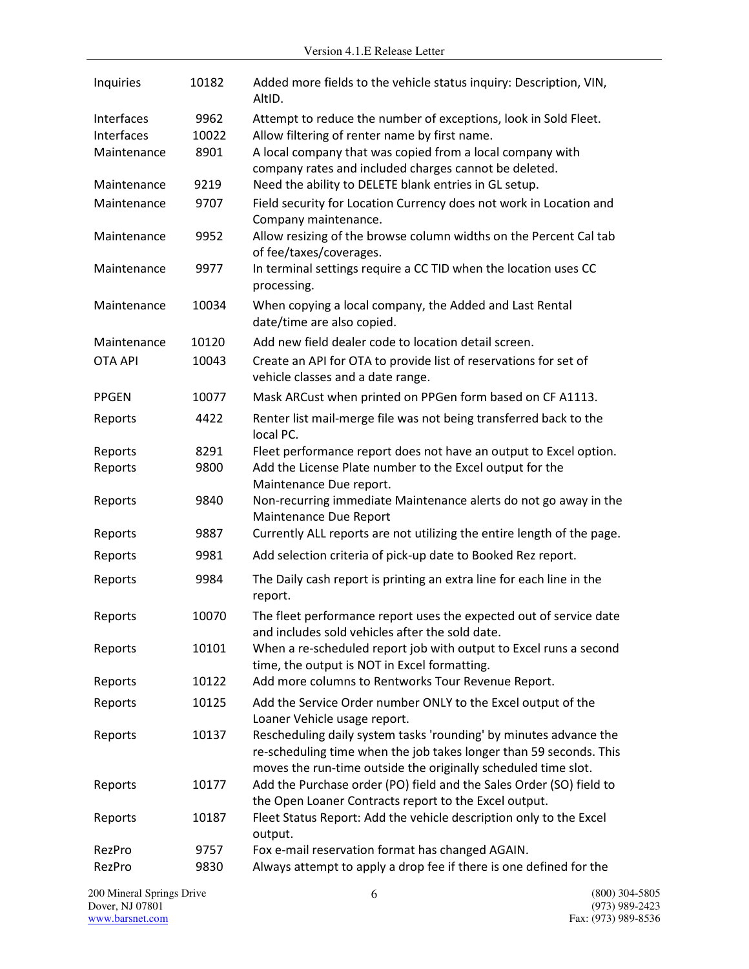| Inquiries      | 10182 | Added more fields to the vehicle status inquiry: Description, VIN,<br>AltID.                                                                                                                              |
|----------------|-------|-----------------------------------------------------------------------------------------------------------------------------------------------------------------------------------------------------------|
| Interfaces     | 9962  | Attempt to reduce the number of exceptions, look in Sold Fleet.                                                                                                                                           |
| Interfaces     | 10022 | Allow filtering of renter name by first name.                                                                                                                                                             |
| Maintenance    | 8901  | A local company that was copied from a local company with<br>company rates and included charges cannot be deleted.                                                                                        |
| Maintenance    | 9219  | Need the ability to DELETE blank entries in GL setup.                                                                                                                                                     |
| Maintenance    | 9707  | Field security for Location Currency does not work in Location and<br>Company maintenance.                                                                                                                |
| Maintenance    | 9952  | Allow resizing of the browse column widths on the Percent Cal tab<br>of fee/taxes/coverages.                                                                                                              |
| Maintenance    | 9977  | In terminal settings require a CC TID when the location uses CC<br>processing.                                                                                                                            |
| Maintenance    | 10034 | When copying a local company, the Added and Last Rental<br>date/time are also copied.                                                                                                                     |
| Maintenance    | 10120 | Add new field dealer code to location detail screen.                                                                                                                                                      |
| <b>OTA API</b> | 10043 | Create an API for OTA to provide list of reservations for set of<br>vehicle classes and a date range.                                                                                                     |
| <b>PPGEN</b>   | 10077 | Mask ARCust when printed on PPGen form based on CF A1113.                                                                                                                                                 |
| Reports        | 4422  | Renter list mail-merge file was not being transferred back to the<br>local PC.                                                                                                                            |
| Reports        | 8291  | Fleet performance report does not have an output to Excel option.                                                                                                                                         |
| Reports        | 9800  | Add the License Plate number to the Excel output for the                                                                                                                                                  |
| Reports        | 9840  | Maintenance Due report.<br>Non-recurring immediate Maintenance alerts do not go away in the<br>Maintenance Due Report                                                                                     |
| Reports        | 9887  | Currently ALL reports are not utilizing the entire length of the page.                                                                                                                                    |
| Reports        | 9981  | Add selection criteria of pick-up date to Booked Rez report.                                                                                                                                              |
| Reports        | 9984  | The Daily cash report is printing an extra line for each line in the<br>report.                                                                                                                           |
| Reports        | 10070 | The fleet performance report uses the expected out of service date<br>and includes sold vehicles after the sold date.                                                                                     |
| Reports        | 10101 | When a re-scheduled report job with output to Excel runs a second<br>time, the output is NOT in Excel formatting.                                                                                         |
| Reports        | 10122 | Add more columns to Rentworks Tour Revenue Report.                                                                                                                                                        |
| Reports        | 10125 | Add the Service Order number ONLY to the Excel output of the<br>Loaner Vehicle usage report.                                                                                                              |
| Reports        | 10137 | Rescheduling daily system tasks 'rounding' by minutes advance the<br>re-scheduling time when the job takes longer than 59 seconds. This<br>moves the run-time outside the originally scheduled time slot. |
| Reports        | 10177 | Add the Purchase order (PO) field and the Sales Order (SO) field to<br>the Open Loaner Contracts report to the Excel output.                                                                              |
| Reports        | 10187 | Fleet Status Report: Add the vehicle description only to the Excel<br>output.                                                                                                                             |
| RezPro         | 9757  | Fox e-mail reservation format has changed AGAIN.                                                                                                                                                          |
| RezPro         | 9830  | Always attempt to apply a drop fee if there is one defined for the                                                                                                                                        |